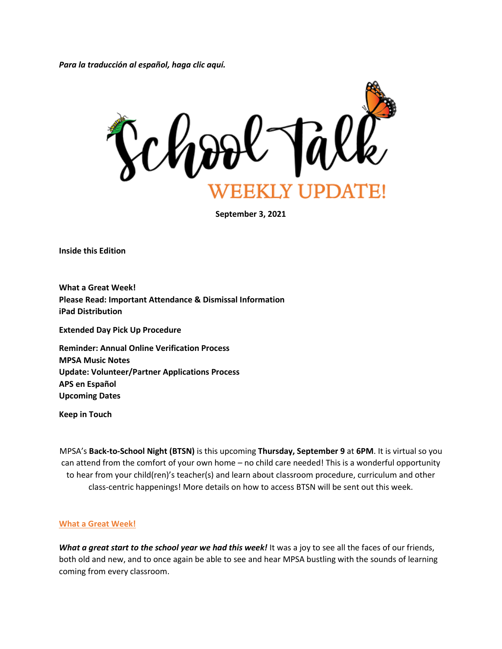*Para la traducción al español, haga clic aquí.*



**September 3, 2021**

**Inside this Edition**

**What a Great Week! Please Read: Important Attendance & Dismissal Information iPad Distribution**

**Extended Day Pick Up Procedure**

**Reminder: Annual Online Verification Process MPSA Music Notes Update: Volunteer/Partner Applications Process APS en Español Upcoming Dates**

**Keep in Touch**

MPSA's **Back-to-School Night (BTSN)** is this upcoming **Thursday, September 9** at **6PM**. It is virtual so you can attend from the comfort of your own home – no child care needed! This is a wonderful opportunity to hear from your child(ren)'s teacher(s) and learn about classroom procedure, curriculum and other class-centric happenings! More details on how to access BTSN will be sent out this week.

#### **What a Great Week!**

*What a great start to the school year we had this week!* It was a joy to see all the faces of our friends, both old and new, and to once again be able to see and hear MPSA bustling with the sounds of learning coming from every classroom.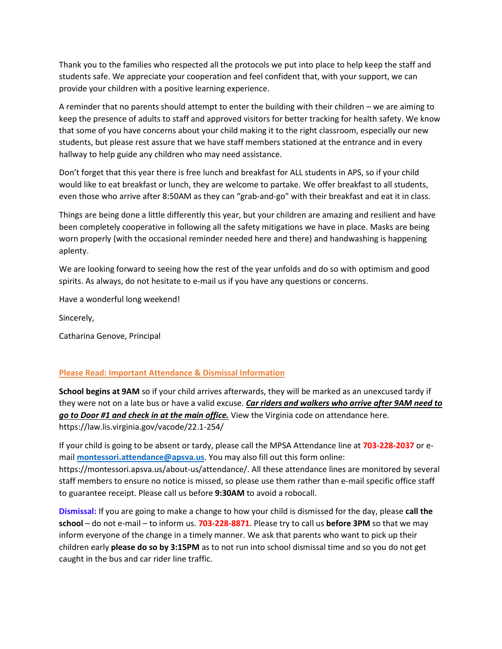Thank you to the families who respected all the protocols we put into place to help keep the staff and students safe. We appreciate your cooperation and feel confident that, with your support, we can provide your children with a positive learning experience.

A reminder that no parents should attempt to enter the building with their children – we are aiming to keep the presence of adults to staff and approved visitors for better tracking for health safety. We know that some of you have concerns about your child making it to the right classroom, especially our new students, but please rest assure that we have staff members stationed at the entrance and in every hallway to help guide any children who may need assistance.

Don't forget that this year there is free lunch and breakfast for ALL students in APS, so if your child would like to eat breakfast or lunch, they are welcome to partake. We offer breakfast to all students, even those who arrive after 8:50AM as they can "grab-and-go" with their breakfast and eat it in class.

Things are being done a little differently this year, but your children are amazing and resilient and have been completely cooperative in following all the safety mitigations we have in place. Masks are being worn properly (with the occasional reminder needed here and there) and handwashing is happening aplenty.

We are looking forward to seeing how the rest of the year unfolds and do so with optimism and good spirits. As always, do not hesitate to e-mail us if you have any questions or concerns.

Have a wonderful long weekend!

Sincerely,

Catharina Genove, Principal

# **Please Read: Important Attendance & Dismissal Information**

**School begins at 9AM** so if your child arrives afterwards, they will be marked as an unexcused tardy if they were not on a late bus or have a valid excuse. *Car riders and walkers who arrive after 9AM need to go to Door #1 and check in at the main office.* View the Virginia code on attendance here. https://law.lis.virginia.gov/vacode/22.1-254/

If your child is going to be absent or tardy, please call the MPSA Attendance line at **703-228-2037** or email **[montessori.attendance@apsva.us](mailto:montessori.attendance@apsva.us)**. You may also fill out this form online: https://montessori.apsva.us/about-us/attendance/. All these attendance lines are monitored by several staff members to ensure no notice is missed, so please use them rather than e-mail specific office staff to guarantee receipt. Please call us before **9:30AM** to avoid a robocall.

**Dismissal:** If you are going to make a change to how your child is dismissed for the day, please **call the school** – do not e-mail – to inform us. **703-228-8871**. Please try to call us **before 3PM** so that we may inform everyone of the change in a timely manner. We ask that parents who want to pick up their children early **please do so by 3:15PM** as to not run into school dismissal time and so you do not get caught in the bus and car rider line traffic.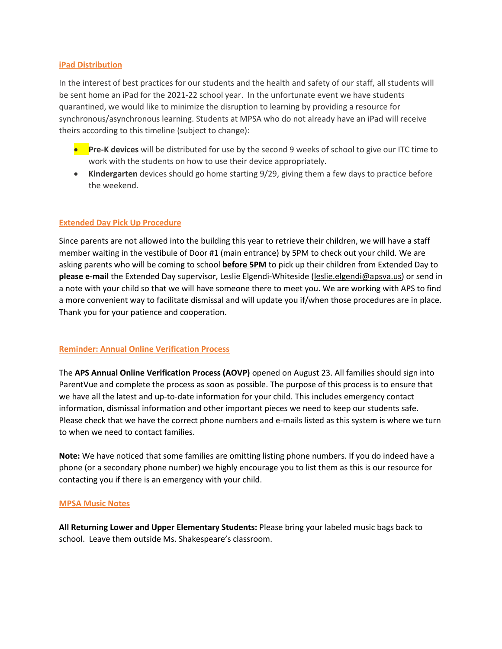#### **iPad Distribution**

In the interest of best practices for our students and the health and safety of our staff, all students will be sent home an iPad for the 2021-22 school year. In the unfortunate event we have students quarantined, we would like to minimize the disruption to learning by providing a resource for synchronous/asynchronous learning. Students at MPSA who do not already have an iPad will receive theirs according to this timeline (subject to change):

- **Pre-K devices** will be distributed for use by the second 9 weeks of school to give our ITC time to work with the students on how to use their device appropriately.
- **Kindergarten** devices should go home starting 9/29, giving them a few days to practice before the weekend.

# **Extended Day Pick Up Procedure**

Since parents are not allowed into the building this year to retrieve their children, we will have a staff member waiting in the vestibule of Door #1 (main entrance) by 5PM to check out your child. We are asking parents who will be coming to school **before 5PM** to pick up their children from Extended Day to **please e-mail** the Extended Day supervisor, Leslie Elgendi-Whiteside [\(leslie.elgendi@apsva.us\)](mailto:leslie.elgendi@apsva.us) or send in a note with your child so that we will have someone there to meet you. We are working with APS to find a more convenient way to facilitate dismissal and will update you if/when those procedures are in place. Thank you for your patience and cooperation.

# **Reminder: Annual Online Verification Process**

The **APS Annual Online Verification Process (AOVP)** opened on August 23. All families should sign into ParentVue and complete the process as soon as possible. The purpose of this process is to ensure that we have all the latest and up-to-date information for your child. This includes emergency contact information, dismissal information and other important pieces we need to keep our students safe. Please check that we have the correct phone numbers and e-mails listed as this system is where we turn to when we need to contact families.

**Note:** We have noticed that some families are omitting listing phone numbers. If you do indeed have a phone (or a secondary phone number) we highly encourage you to list them as this is our resource for contacting you if there is an emergency with your child.

# **MPSA Music Notes**

**All Returning Lower and Upper Elementary Students:** Please bring your labeled music bags back to school. Leave them outside Ms. Shakespeare's classroom.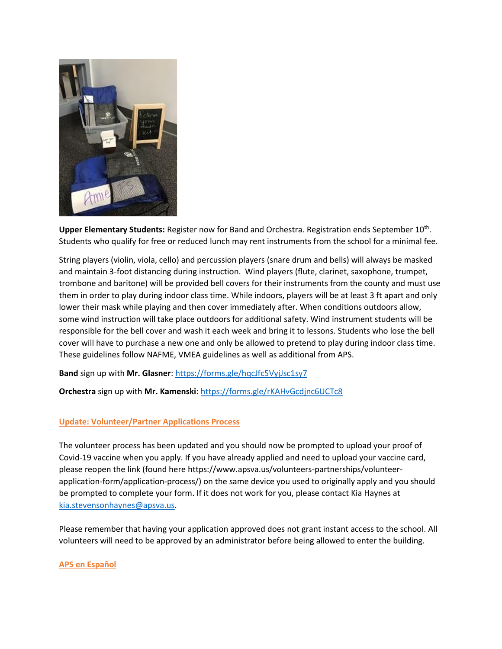

Upper Elementary Students: Register now for Band and Orchestra. Registration ends September 10<sup>th</sup>. Students who qualify for free or reduced lunch may rent instruments from the school for a minimal fee.

String players (violin, viola, cello) and percussion players (snare drum and bells) will always be masked and maintain 3-foot distancing during instruction. Wind players (flute, clarinet, saxophone, trumpet, trombone and baritone) will be provided bell covers for their instruments from the county and must use them in order to play during indoor class time. While indoors, players will be at least 3 ft apart and only lower their mask while playing and then cover immediately after. When conditions outdoors allow, some wind instruction will take place outdoors for additional safety. Wind instrument students will be responsible for the bell cover and wash it each week and bring it to lessons. Students who lose the bell cover will have to purchase a new one and only be allowed to pretend to play during indoor class time. These guidelines follow NAFME, VMEA guidelines as well as additional from APS.

**Band** sign up with **Mr. Glasner**:<https://forms.gle/hqcJfc5VyjJsc1sy7>

**Orchestra** sign up with **Mr. Kamenski**[: https://forms.gle/rKAHvGcdjnc6UCTc8](https://forms.gle/rKAHvGcdjnc6UCTc8)

# **Update: Volunteer/Partner Applications Process**

The volunteer process has been updated and you should now be prompted to upload your proof of Covid-19 vaccine when you apply. If you have already applied and need to upload your vaccine card, please reopen the link (found here https://www.apsva.us/volunteers-partnerships/volunteerapplication-form/application-process/) on the same device you used to originally apply and you should be prompted to complete your form. If it does not work for you, please contact Kia Haynes at [kia.stevensonhaynes@apsva.us.](mailto:kia.stevensonhaynes@apsva.us)

Please remember that having your application approved does not grant instant access to the school. All volunteers will need to be approved by an administrator before being allowed to enter the building.

# **APS en Español**